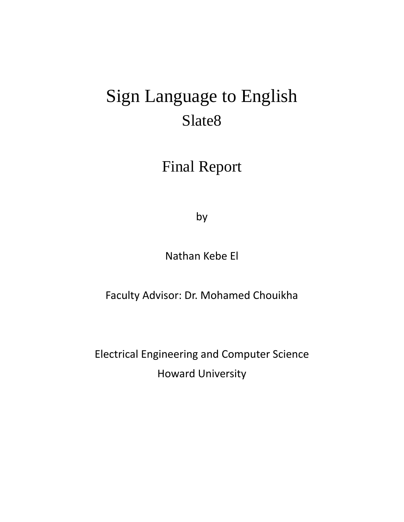# Sign Language to English Slate8

# Final Report

by

Nathan Kebe El

Faculty Advisor: Dr. Mohamed Chouikha

Electrical Engineering and Computer Science Howard University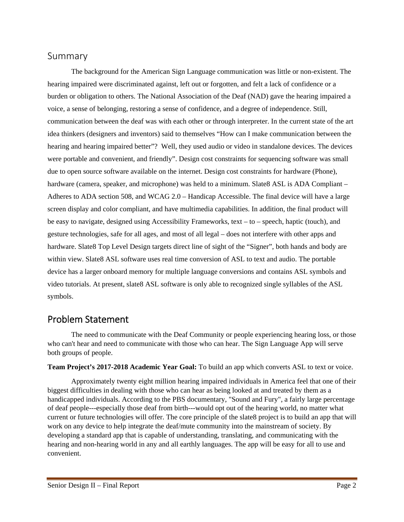### Summary

 The background for the American Sign Language communication was little or non-existent. The hearing impaired were discriminated against, left out or forgotten, and felt a lack of confidence or a burden or obligation to others. The National Association of the Deaf (NAD) gave the hearing impaired a voice, a sense of belonging, restoring a sense of confidence, and a degree of independence. Still, communication between the deaf was with each other or through interpreter. In the current state of the art idea thinkers (designers and inventors) said to themselves "How can I make communication between the hearing and hearing impaired better"? Well, they used audio or video in standalone devices. The devices were portable and convenient, and friendly". Design cost constraints for sequencing software was small due to open source software available on the internet. Design cost constraints for hardware (Phone), hardware (camera, speaker, and microphone) was held to a minimum. Slate 8 ASL is ADA Compliant – Adheres to ADA section 508, and WCAG 2.0 – Handicap Accessible. The final device will have a large screen display and color compliant, and have multimedia capabilities. In addition, the final product will be easy to navigate, designed using Accessibility Frameworks, text – to – speech, haptic (touch), and gesture technologies, safe for all ages, and most of all legal – does not interfere with other apps and hardware. Slate8 Top Level Design targets direct line of sight of the "Signer", both hands and body are within view. Slate8 ASL software uses real time conversion of ASL to text and audio. The portable device has a larger onboard memory for multiple language conversions and contains ASL symbols and video tutorials. At present, slate8 ASL software is only able to recognized single syllables of the ASL symbols.

### Problem Statement

The need to communicate with the Deaf Community or people experiencing hearing loss, or those who can't hear and need to communicate with those who can hear. The Sign Language App will serve both groups of people.

**Team Project's 2017-2018 Academic Year Goal:** To build an app which converts ASL to text or voice.

Approximately twenty eight million hearing impaired individuals in America feel that one of their biggest difficulties in dealing with those who can hear as being looked at and treated by them as a handicapped individuals. According to the PBS documentary, "Sound and Fury", a fairly large percentage of deaf people---especially those deaf from birth---would opt out of the hearing world, no matter what current or future technologies will offer. The core principle of the slate8 project is to build an app that will work on any device to help integrate the deaf/mute community into the mainstream of society. By developing a standard app that is capable of understanding, translating, and communicating with the hearing and non-hearing world in any and all earthly languages. The app will be easy for all to use and convenient.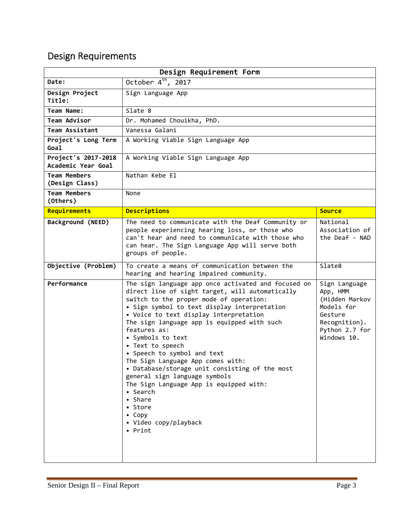## Design Requirements

| Design Requirement Form                   |                                                                                                                                                                                                                                                                                                                                                                                                                                                                                                                                                                                                                                       |                                                                                                                        |  |  |
|-------------------------------------------|---------------------------------------------------------------------------------------------------------------------------------------------------------------------------------------------------------------------------------------------------------------------------------------------------------------------------------------------------------------------------------------------------------------------------------------------------------------------------------------------------------------------------------------------------------------------------------------------------------------------------------------|------------------------------------------------------------------------------------------------------------------------|--|--|
| Date:                                     | October $4^{th}$ , 2017                                                                                                                                                                                                                                                                                                                                                                                                                                                                                                                                                                                                               |                                                                                                                        |  |  |
| Design Project<br>Title:                  | Sign Language App                                                                                                                                                                                                                                                                                                                                                                                                                                                                                                                                                                                                                     |                                                                                                                        |  |  |
| Team Name:                                | Slate 8                                                                                                                                                                                                                                                                                                                                                                                                                                                                                                                                                                                                                               |                                                                                                                        |  |  |
| Team Advisor                              | Dr. Mohamed Chouikha, PhD.                                                                                                                                                                                                                                                                                                                                                                                                                                                                                                                                                                                                            |                                                                                                                        |  |  |
| <b>Team Assistant</b>                     | Vanessa Galani                                                                                                                                                                                                                                                                                                                                                                                                                                                                                                                                                                                                                        |                                                                                                                        |  |  |
| Project's Long Term<br>Goal               | A Working Viable Sign Language App                                                                                                                                                                                                                                                                                                                                                                                                                                                                                                                                                                                                    |                                                                                                                        |  |  |
| Project's 2017-2018<br>Academic Year Goal | A Working Viable Sign Language App                                                                                                                                                                                                                                                                                                                                                                                                                                                                                                                                                                                                    |                                                                                                                        |  |  |
| <b>Team Members</b><br>(Design Class)     | Nathan Kebe El                                                                                                                                                                                                                                                                                                                                                                                                                                                                                                                                                                                                                        |                                                                                                                        |  |  |
| <b>Team Members</b><br>(Others)           | None                                                                                                                                                                                                                                                                                                                                                                                                                                                                                                                                                                                                                                  |                                                                                                                        |  |  |
| Requirements                              | <b>Descriptions</b>                                                                                                                                                                                                                                                                                                                                                                                                                                                                                                                                                                                                                   | <b>Source</b>                                                                                                          |  |  |
| Background (NEED)                         | The need to communicate with the Deaf Community or<br>people experiencing hearing loss, or those who<br>can't hear and need to communicate with those who<br>can hear. The Sign Language App will serve both<br>groups of people.                                                                                                                                                                                                                                                                                                                                                                                                     | National<br>Association of<br>the Deaf - NAD                                                                           |  |  |
| Objective (Problem)                       | To create a means of communication between the<br>hearing and hearing impaired community.                                                                                                                                                                                                                                                                                                                                                                                                                                                                                                                                             | Slate8                                                                                                                 |  |  |
| Performance                               | The sign language app once activated and focused on<br>direct line of sight target, will automatically<br>switch to the proper mode of operation:<br>• Sign symbol to text display interpretation<br>• Voice to text display interpretation<br>The sign language app is equipped with such<br>features as:<br>• Symbols to text<br>• Text to speech<br>• Speech to symbol and text<br>The Sign Language App comes with:<br>• Database/storage unit consisting of the most<br>general sign language symbols<br>The Sign Language App is equipped with:<br>• Search<br>• Share<br>• Store<br>• Copy<br>• Video copy/playback<br>• Print | Sign Language<br>App, HMM<br>(Hidden Markov<br>Models for<br>Gesture<br>Recognition).<br>Python 2.7 for<br>Windows 10. |  |  |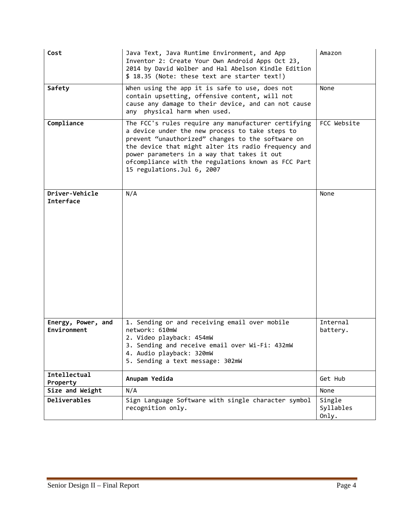| Cost                               | Java Text, Java Runtime Environment, and App<br>Inventor 2: Create Your Own Android Apps Oct 23,<br>2014 by David Wolber and Hal Abelson Kindle Edition<br>\$ 18.35 (Note: these text are starter text!)                                                                                                                                                | Amazon                       |
|------------------------------------|---------------------------------------------------------------------------------------------------------------------------------------------------------------------------------------------------------------------------------------------------------------------------------------------------------------------------------------------------------|------------------------------|
| Safety                             | When using the app it is safe to use, does not<br>contain upsetting, offensive content, will not<br>cause any damage to their device, and can not cause<br>physical harm when used.<br>any                                                                                                                                                              | None                         |
| Compliance                         | The FCC's rules require any manufacturer certifying<br>a device under the new process to take steps to<br>prevent "unauthorized" changes to the software on<br>the device that might alter its radio frequency and<br>power parameters in a way that takes it out<br>ofcompliance with the regulations known as FCC Part<br>15 regulations. Jul 6, 2007 | FCC Website                  |
| Driver-Vehicle<br><b>Interface</b> | N/A                                                                                                                                                                                                                                                                                                                                                     | None                         |
| Energy, Power, and<br>Environment  | 1. Sending or and receiving email over mobile<br>network: 610mW<br>2. Video playback: 454mW<br>3. Sending and receive email over Wi-Fi: 432mW<br>4. Audio playback: 320mW<br>5. Sending a text message: 302mW                                                                                                                                           | Internal<br>battery.         |
| Intellectual<br>Property           | Anupam Yedida                                                                                                                                                                                                                                                                                                                                           | Get Hub                      |
| Size and Weight                    | N/A                                                                                                                                                                                                                                                                                                                                                     | None                         |
| <b>Deliverables</b>                | Sign Language Software with single character symbol<br>recognition only.                                                                                                                                                                                                                                                                                | Single<br>Syllables<br>Only. |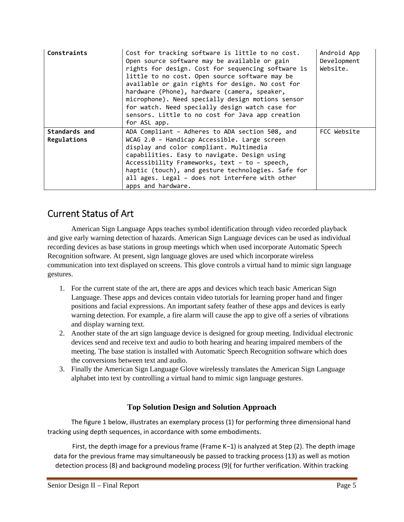| Constraints                  | Cost for tracking software is little to no cost.<br>Open source software may be available or gain<br>rights for design. Cost for sequencing software is<br>little to no cost. Open source software may be<br>available or gain rights for design. No cost for<br>hardware (Phone), hardware (camera, speaker,<br>microphone). Need specially design motions sensor<br>for watch. Need specially design watch case for<br>sensors. Little to no cost for Java app creation<br>for ASL app. | Android App<br>Development<br>Website. |
|------------------------------|-------------------------------------------------------------------------------------------------------------------------------------------------------------------------------------------------------------------------------------------------------------------------------------------------------------------------------------------------------------------------------------------------------------------------------------------------------------------------------------------|----------------------------------------|
| Standards and<br>Regulations | ADA Compliant - Adheres to ADA section 508, and<br>WCAG 2.0 - Handicap Accessible. Large screen<br>display and color compliant. Multimedia<br>capabilities. Easy to navigate. Design using<br>Accessibility Frameworks, text - to - speech,<br>haptic (touch), and gesture technologies. Safe for<br>all ages. Legal - does not interfere with other<br>apps and hardware.                                                                                                                | FCC Website                            |

### Current Status of Art

 American Sign Language Apps teaches symbol identification through video recorded playback and give early warning detection of hazards. American Sign Language devices can be used as individual recording devices as base stations in group meetings which when used incorporate Automatic Speech Recognition software. At present, sign language gloves are used which incorporate wireless communication into text displayed on screens. This glove controls a virtual hand to mimic sign language gestures.

- 1. For the current state of the art, there are apps and devices which teach basic American Sign Language. These apps and devices contain video tutorials for learning proper hand and finger positions and facial expressions. An important safety feather of these apps and devices is early warning detection. For example, a fire alarm will cause the app to give off a series of vibrations and display warning text.
- 2. Another state of the art sign language device is designed for group meeting. Individual electronic devices send and receive text and audio to both hearing and hearing impaired members of the meeting. The base station is installed with Automatic Speech Recognition software which does the conversions between text and audio.
- 3. Finally the American Sign Language Glove wirelessly translates the American Sign Language alphabet into text by controlling a virtual hand to mimic sign language gestures.

### **Top Solution Design and Solution Approach**

The figure 1 below, illustrates an exemplary process (1) for performing three dimensional hand tracking using depth sequences, in accordance with some embodiments.

First, the depth image for a previous frame (Frame K−1) is analyzed at Step (2). The depth image data for the previous frame may simultaneously be passed to tracking process (13) as well as motion detection process (8) and background modeling process (9)( for further verification. Within tracking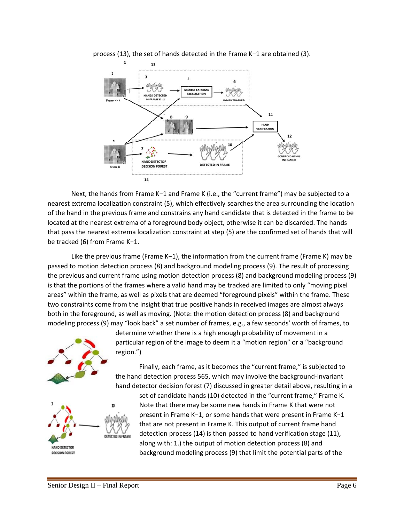

process (13), the set of hands detected in the Frame K-1 are obtained (3).

Next, the hands from Frame K-1 and Frame K (i.e., the "current frame") may be subjected to a nearest extrema localization constraint (5), which effectively searches the area surrounding the location of the hand in the previous frame and constrains any hand candidate that is detected in the frame to be located at the nearest extrema of a foreground body object, otherwise it can be discarded. The hands that pass the nearest extrema localization constraint at step (5) are the confirmed set of hands that will be tracked (6) from Frame K-1.

Like the previous frame (Frame  $K-1$ ), the information from the current frame (Frame K) may be passed to motion detection process (8) and background modeling process (9). The result of processing the previous and current frame using motion detection process (8) and background modeling process (9) is that the portions of the frames where a valid hand may be tracked are limited to only "moving pixel areas" within the frame, as well as pixels that are deemed "foreground pixels" within the frame. These two constraints come from the insight that true positive hands in received images are almost always both in the foreground, as well as moving. (Note: the motion detection process (8) and background modeling process (9) may "look back" a set number of frames, e.g., a few seconds' worth of frames, to



determine whether there is a high enough probability of movement in a particular region of the image to deem it a "motion region" or a "background region.")

Finally, each frame, as it becomes the "current frame," is subjected to the hand detection process 565, which may involve the background-invariant hand detector decision forest (7) discussed in greater detail above, resulting in a



set of candidate hands (10) detected in the "current frame," Frame K. Note that there may be some new hands in Frame K that were not present in Frame K-1, or some hands that were present in Frame K-1 that are not present in Frame K. This output of current frame hand detection process (14) is then passed to hand verification stage (11), along with: 1.) the output of motion detection process (8) and background modeling process (9) that limit the potential parts of the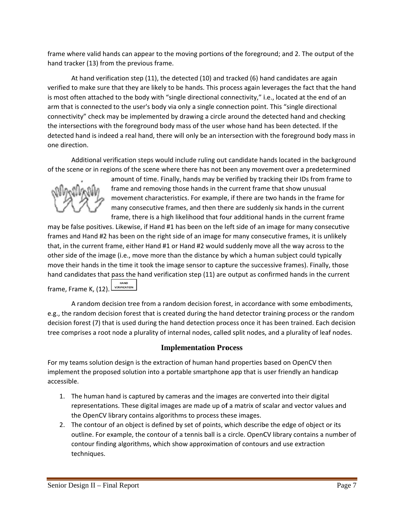frame where valid hands can appear to the moving portions of the foreground; and 2. The output of the hand tracker (13) from the previous frame.

At hand verification step (11), the detected (10) and tracked (6) hand candidates are again verified to make sure that they are likely to be hands. This process again leverages the fact that the hand is most often attached to the body with "single directional connectivity," i.e., located at the end of an arm that is connected to the user's body via only a single connection point. This "single directional connectivity" check may be implemented by drawing a circle around the detected hand and checking the intersections with the foreground body mass of the user whose hand has been detected. If the detected hand is indeed a real hand, there will only be an intersection with the foreground body mass in one direction.

Additional verification steps would include ruling out candidate hands located in the background of the scene or in regions of the scene where there has not been any movement over a predetermined



amount of time. Finally, hands may be verified by tracking their IDs from frame to frame and removing those hands in the current frame that show unusual movement characteristics. For example, if there are two hands in the frame for many consecutive frames, and then there are suddenly six hands in the current frame, there is a high likelihood that four additional hands in the current frame

may be false positives. Likewise, if Hand #1 has been on the left side of an image for many consecutive frames and Hand #2 has been on the right side of an image for many consecutive frames, it is unlikely that, in the current frame, either Hand #1 or Hand #2 would suddenly move all the way across to the other side of the image (i.e., move more than the distance by which a human subject could typically move their hands in the time it took the image sensor to capture the successive frames). Finally, those hand candidates that pass the hand verification step (11) are output as confirmed hands in the current frame, Frame K, (12). VERIFICATION

A random decision tree from a random decision forest, in accordance with some embodiments, e.g., the random decision forest that is created during the hand detector training process or the random decision forest (7) that is used during the hand detection process once it has been trained. Each decision tree comprises a root node a plurality of internal nodes, called split nodes, and a plurality of leaf nodes.

#### **Implementation Process**

For my teams solution design is the extraction of human hand properties based on OpenCV then implement the proposed solution into a portable smartphone app that is user friendly an handicap accessible.

- 1. The human hand is captured by cameras and the images are converted into their digital representations. These digital images are made up of a matrix of scalar and vector values and the OpenCV library contains algorithms to process these images.
- 2. The contour of an object is defined by set of points, which describe the edge of object or its outline. For example, the contour of a tennis ball is a circle. OpenCV library contains a number of contour finding algorithms, which show approximation of contours and use extraction techniques.